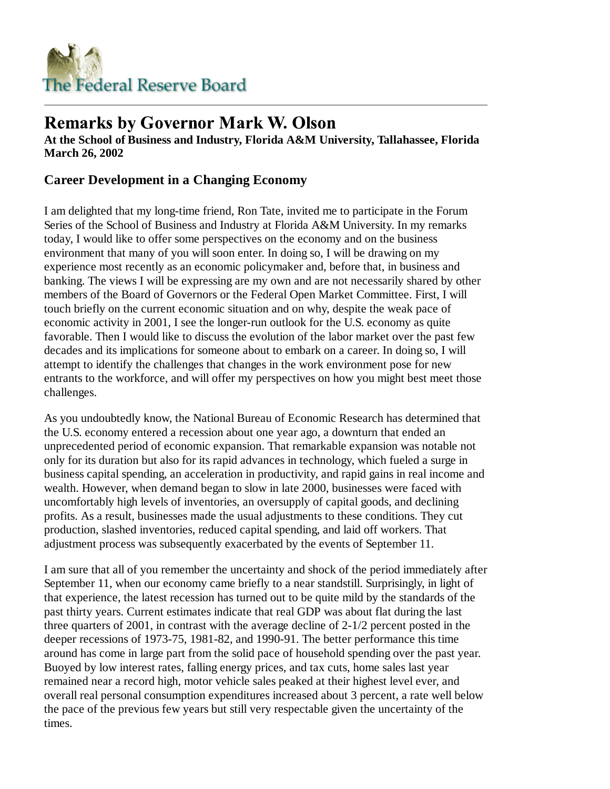

# **Remarks by Governor Mark W. Olson**

**At the School of Business and Industry, Florida A&M University, Tallahassee, Florida March 26, 2002**

## **Career Development in a Changing Economy**

I am delighted that my long-time friend, Ron Tate, invited me to participate in the Forum Series of the School of Business and Industry at Florida A&M University. In my remarks today, I would like to offer some perspectives on the economy and on the business environment that many of you will soon enter. In doing so, I will be drawing on my experience most recently as an economic policymaker and, before that, in business and banking. The views I will be expressing are my own and are not necessarily shared by other members of the Board of Governors or the Federal Open Market Committee. First, I will touch briefly on the current economic situation and on why, despite the weak pace of economic activity in 2001, I see the longer-run outlook for the U.S. economy as quite favorable. Then I would like to discuss the evolution of the labor market over the past few decades and its implications for someone about to embark on a career. In doing so, I will attempt to identify the challenges that changes in the work environment pose for new entrants to the workforce, and will offer my perspectives on how you might best meet those challenges.

As you undoubtedly know, the National Bureau of Economic Research has determined that the U.S. economy entered a recession about one year ago, a downturn that ended an unprecedented period of economic expansion. That remarkable expansion was notable not only for its duration but also for its rapid advances in technology, which fueled a surge in business capital spending, an acceleration in productivity, and rapid gains in real income and wealth. However, when demand began to slow in late 2000, businesses were faced with uncomfortably high levels of inventories, an oversupply of capital goods, and declining profits. As a result, businesses made the usual adjustments to these conditions. They cut production, slashed inventories, reduced capital spending, and laid off workers. That adjustment process was subsequently exacerbated by the events of September 11.

I am sure that all of you remember the uncertainty and shock of the period immediately after September 11, when our economy came briefly to a near standstill. Surprisingly, in light of that experience, the latest recession has turned out to be quite mild by the standards of the past thirty years. Current estimates indicate that real GDP was about flat during the last three quarters of 2001, in contrast with the average decline of 2-1/2 percent posted in the deeper recessions of 1973-75, 1981-82, and 1990-91. The better performance this time around has come in large part from the solid pace of household spending over the past year. Buoyed by low interest rates, falling energy prices, and tax cuts, home sales last year remained near a record high, motor vehicle sales peaked at their highest level ever, and overall real personal consumption expenditures increased about 3 percent, a rate well below the pace of the previous few years but still very respectable given the uncertainty of the times.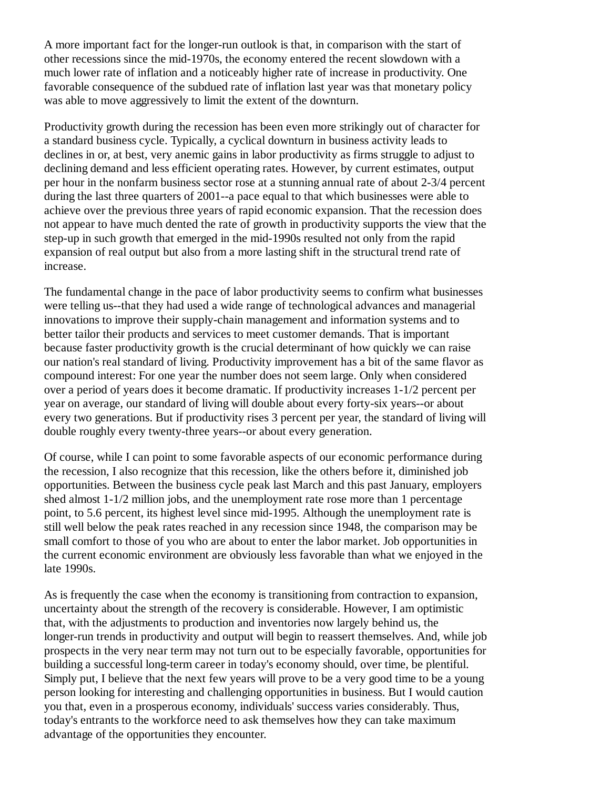A more important fact for the longer-run outlook is that, in comparison with the start of other recessions since the mid-1970s, the economy entered the recent slowdown with a much lower rate of inflation and a noticeably higher rate of increase in productivity. One favorable consequence of the subdued rate of inflation last year was that monetary policy was able to move aggressively to limit the extent of the downturn.

Productivity growth during the recession has been even more strikingly out of character for a standard business cycle. Typically, a cyclical downturn in business activity leads to declines in or, at best, very anemic gains in labor productivity as firms struggle to adjust to declining demand and less efficient operating rates. However, by current estimates, output per hour in the nonfarm business sector rose at a stunning annual rate of about 2-3/4 percent during the last three quarters of 2001--a pace equal to that which businesses were able to achieve over the previous three years of rapid economic expansion. That the recession does not appear to have much dented the rate of growth in productivity supports the view that the step-up in such growth that emerged in the mid-1990s resulted not only from the rapid expansion of real output but also from a more lasting shift in the structural trend rate of increase.

The fundamental change in the pace of labor productivity seems to confirm what businesses were telling us--that they had used a wide range of technological advances and managerial innovations to improve their supply-chain management and information systems and to better tailor their products and services to meet customer demands. That is important because faster productivity growth is the crucial determinant of how quickly we can raise our nation's real standard of living. Productivity improvement has a bit of the same flavor as compound interest: For one year the number does not seem large. Only when considered over a period of years does it become dramatic. If productivity increases 1-1/2 percent per year on average, our standard of living will double about every forty-six years--or about every two generations. But if productivity rises 3 percent per year, the standard of living will double roughly every twenty-three years--or about every generation.

Of course, while I can point to some favorable aspects of our economic performance during the recession, I also recognize that this recession, like the others before it, diminished job opportunities. Between the business cycle peak last March and this past January, employers shed almost 1-1/2 million jobs, and the unemployment rate rose more than 1 percentage point, to 5.6 percent, its highest level since mid-1995. Although the unemployment rate is still well below the peak rates reached in any recession since 1948, the comparison may be small comfort to those of you who are about to enter the labor market. Job opportunities in the current economic environment are obviously less favorable than what we enjoyed in the late 1990s.

As is frequently the case when the economy is transitioning from contraction to expansion, uncertainty about the strength of the recovery is considerable. However, I am optimistic that, with the adjustments to production and inventories now largely behind us, the longer-run trends in productivity and output will begin to reassert themselves. And, while job prospects in the very near term may not turn out to be especially favorable, opportunities for building a successful long-term career in today's economy should, over time, be plentiful. Simply put, I believe that the next few years will prove to be a very good time to be a young person looking for interesting and challenging opportunities in business. But I would caution you that, even in a prosperous economy, individuals' success varies considerably. Thus, today's entrants to the workforce need to ask themselves how they can take maximum advantage of the opportunities they encounter.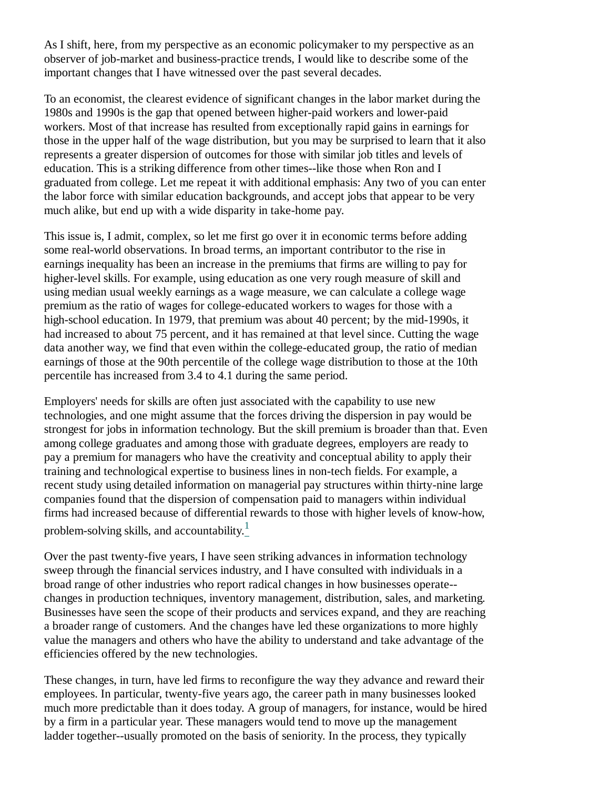As I shift, here, from my perspective as an economic policymaker to my perspective as an observer of job-market and business-practice trends, I would like to describe some of the important changes that I have witnessed over the past several decades.

To an economist, the clearest evidence of significant changes in the labor market during the 1980s and 1990s is the gap that opened between higher-paid workers and lower-paid workers. Most of that increase has resulted from exceptionally rapid gains in earnings for those in the upper half of the wage distribution, but you may be surprised to learn that it also represents a greater dispersion of outcomes for those with similar job titles and levels of education. This is a striking difference from other times--like those when Ron and I graduated from college. Let me repeat it with additional emphasis: Any two of you can enter the labor force with similar education backgrounds, and accept jobs that appear to be very much alike, but end up with a wide disparity in take-home pay.

This issue is, I admit, complex, so let me first go over it in economic terms before adding some real-world observations. In broad terms, an important contributor to the rise in earnings inequality has been an increase in the premiums that firms are willing to pay for higher-level skills. For example, using education as one very rough measure of skill and using median usual weekly earnings as a wage measure, we can calculate a college wage premium as the ratio of wages for college-educated workers to wages for those with a high-school education. In 1979, that premium was about 40 percent; by the mid-1990s, it had increased to about 75 percent, and it has remained at that level since. Cutting the wage data another way, we find that even within the college-educated group, the ratio of median earnings of those at the 90th percentile of the college wage distribution to those at the 10th percentile has increased from 3.4 to 4.1 during the same period.

Employers' needs for skills are often just associated with the capability to use new technologies, and one might assume that the forces driving the dispersion in pay would be strongest for jobs in information technology. But the skill premium is broader than that. Even among college graduates and among those with graduate degrees, employers are ready to pay a premium for managers who have the creativity and conceptual ability to apply their training and technological expertise to business lines in non-tech fields. For example, a recent study using detailed information on managerial pay structures within thirty-nine large companies found that the dispersion of compensation paid to managers within individual firms had increased because of differential rewards to those with higher levels of know-how, problem-solving skills, and accountability. $\frac{1}{1}$ 

Over the past twenty-five years, I have seen striking advances in information technology sweep through the financial services industry, and I have consulted with individuals in a broad range of other industries who report radical changes in how businesses operate- changes in production techniques, inventory management, distribution, sales, and marketing. Businesses have seen the scope of their products and services expand, and they are reaching a broader range of customers. And the changes have led these organizations to more highly value the managers and others who have the ability to understand and take advantage of the efficiencies offered by the new technologies.

These changes, in turn, have led firms to reconfigure the way they advance and reward their employees. In particular, twenty-five years ago, the career path in many businesses looked much more predictable than it does today. A group of managers, for instance, would be hired by a firm in a particular year. These managers would tend to move up the management ladder together--usually promoted on the basis of seniority. In the process, they typically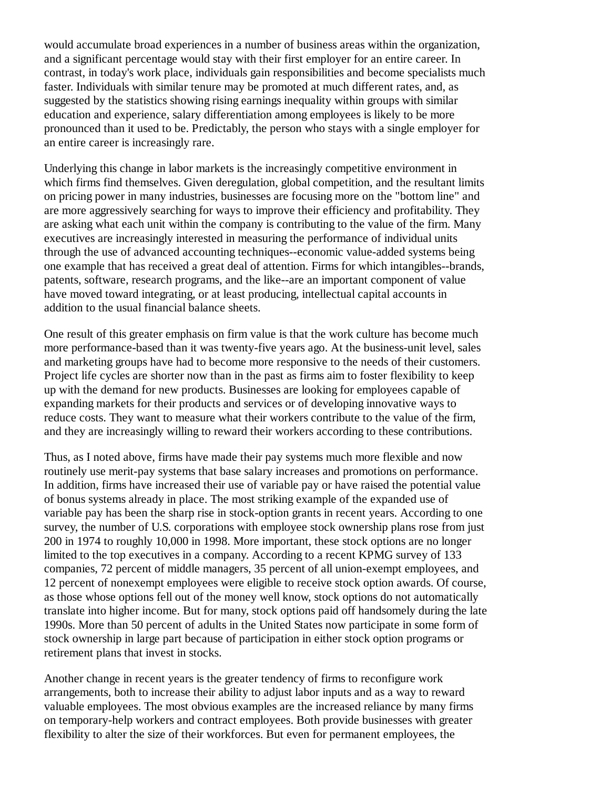would accumulate broad experiences in a number of business areas within the organization, and a significant percentage would stay with their first employer for an entire career. In contrast, in today's work place, individuals gain responsibilities and become specialists much faster. Individuals with similar tenure may be promoted at much different rates, and, as suggested by the statistics showing rising earnings inequality within groups with similar education and experience, salary differentiation among employees is likely to be more pronounced than it used to be. Predictably, the person who stays with a single employer for an entire career is increasingly rare.

Underlying this change in labor markets is the increasingly competitive environment in which firms find themselves. Given deregulation, global competition, and the resultant limits on pricing power in many industries, businesses are focusing more on the "bottom line" and are more aggressively searching for ways to improve their efficiency and profitability. They are asking what each unit within the company is contributing to the value of the firm. Many executives are increasingly interested in measuring the performance of individual units through the use of advanced accounting techniques--economic value-added systems being one example that has received a great deal of attention. Firms for which intangibles--brands, patents, software, research programs, and the like--are an important component of value have moved toward integrating, or at least producing, intellectual capital accounts in addition to the usual financial balance sheets.

One result of this greater emphasis on firm value is that the work culture has become much more performance-based than it was twenty-five years ago. At the business-unit level, sales and marketing groups have had to become more responsive to the needs of their customers. Project life cycles are shorter now than in the past as firms aim to foster flexibility to keep up with the demand for new products. Businesses are looking for employees capable of expanding markets for their products and services or of developing innovative ways to reduce costs. They want to measure what their workers contribute to the value of the firm, and they are increasingly willing to reward their workers according to these contributions.

Thus, as I noted above, firms have made their pay systems much more flexible and now routinely use merit-pay systems that base salary increases and promotions on performance. In addition, firms have increased their use of variable pay or have raised the potential value of bonus systems already in place. The most striking example of the expanded use of variable pay has been the sharp rise in stock-option grants in recent years. According to one survey, the number of U.S. corporations with employee stock ownership plans rose from just 200 in 1974 to roughly 10,000 in 1998. More important, these stock options are no longer limited to the top executives in a company. According to a recent KPMG survey of 133 companies, 72 percent of middle managers, 35 percent of all union-exempt employees, and 12 percent of nonexempt employees were eligible to receive stock option awards. Of course, as those whose options fell out of the money well know, stock options do not automatically translate into higher income. But for many, stock options paid off handsomely during the late 1990s. More than 50 percent of adults in the United States now participate in some form of stock ownership in large part because of participation in either stock option programs or retirement plans that invest in stocks.

Another change in recent years is the greater tendency of firms to reconfigure work arrangements, both to increase their ability to adjust labor inputs and as a way to reward valuable employees. The most obvious examples are the increased reliance by many firms on temporary-help workers and contract employees. Both provide businesses with greater flexibility to alter the size of their workforces. But even for permanent employees, the